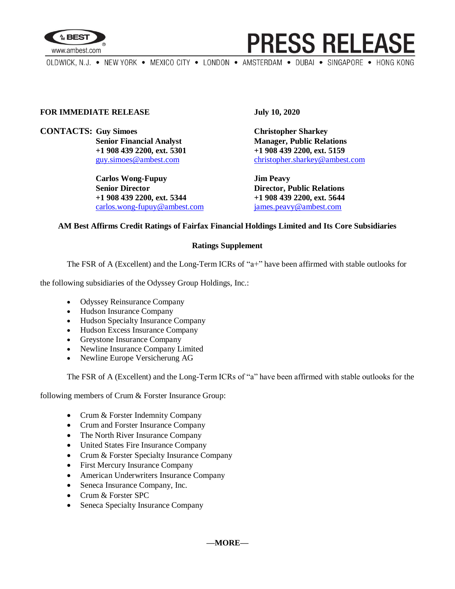

## **PRESS RELEASE**

OLDWICK, N.J. . NEW YORK . MEXICO CITY . LONDON . AMSTERDAM . DUBAI . SINGAPORE . HONG KONG

#### **FOR IMMEDIATE RELEASE July 10, 2020**

**CONTACTS: Guy Simoes Christopher Sharkey**

**Carlos Wong-Fupuy Jim Peavy Senior Director Director Director, Public Relations +1 908 439 2200, ext. 5344 +1 908 439 2200, ext. 5644** [carlos.wong-fupuy@ambest.com](mailto:carlos.wong-fupuy@ambest.com) [james.peavy@ambest.com](mailto:james.peavy@ambest.com)

**Senior Financial Analyst Manager, Public Relations +1 908 439 2200, ext. 5301 +1 908 439 2200, ext. 5159** [guy.simoes@ambest.com](mailto:guy.simoes@ambest.com) [christopher.sharkey@ambest.com](mailto:christopher.sharkey@ambest.com)

#### **AM Best Affirms Credit Ratings of Fairfax Financial Holdings Limited and Its Core Subsidiaries**

#### **Ratings Supplement**

The FSR of A (Excellent) and the Long-Term ICRs of "a+" have been affirmed with stable outlooks for

the following subsidiaries of the Odyssey Group Holdings, Inc.:

- Odyssey Reinsurance Company
- Hudson Insurance Company
- Hudson Specialty Insurance Company
- Hudson Excess Insurance Company
- Greystone Insurance Company
- Newline Insurance Company Limited
- Newline Europe Versicherung AG

The FSR of A (Excellent) and the Long-Term ICRs of "a" have been affirmed with stable outlooks for the

following members of Crum & Forster Insurance Group:

- Crum & Forster Indemnity Company
- Crum and Forster Insurance Company
- The North River Insurance Company
- United States Fire Insurance Company
- Crum & Forster Specialty Insurance Company
- First Mercury Insurance Company
- American Underwriters Insurance Company
- Seneca Insurance Company, Inc.
- Crum & Forster SPC
- Seneca Specialty Insurance Company

**—MORE—**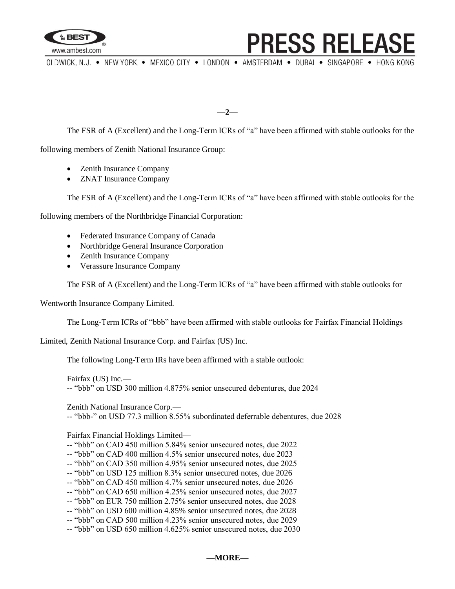

### **PRESS RELEASE**

OLDWICK, N.J. . NEW YORK . MEXICO CITY . LONDON . AMSTERDAM . DUBAI . SINGAPORE . HONG KONG

**—2—**

The FSR of A (Excellent) and the Long-Term ICRs of "a" have been affirmed with stable outlooks for the

following members of Zenith National Insurance Group:

- Zenith Insurance Company
- ZNAT Insurance Company

The FSR of A (Excellent) and the Long-Term ICRs of "a" have been affirmed with stable outlooks for the

following members of the Northbridge Financial Corporation:

- Federated Insurance Company of Canada
- Northbridge General Insurance Corporation
- Zenith Insurance Company
- Verassure Insurance Company

The FSR of A (Excellent) and the Long-Term ICRs of "a" have been affirmed with stable outlooks for

Wentworth Insurance Company Limited.

The Long-Term ICRs of "bbb" have been affirmed with stable outlooks for Fairfax Financial Holdings

Limited, Zenith National Insurance Corp. and Fairfax (US) Inc.

The following Long-Term IRs have been affirmed with a stable outlook:

Fairfax (US) Inc.— -- "bbb" on USD 300 million 4.875% senior unsecured debentures, due 2024

Zenith National Insurance Corp.— -- "bbb-" on USD 77.3 million 8.55% subordinated deferrable debentures, due 2028

Fairfax Financial Holdings Limited—

- -- "bbb" on CAD 450 million 5.84% senior unsecured notes, due 2022
- -- "bbb" on CAD 400 million 4.5% senior unsecured notes, due 2023
- -- "bbb" on CAD 350 million 4.95% senior unsecured notes, due 2025
- -- "bbb" on USD 125 million 8.3% senior unsecured notes, due 2026
- -- "bbb" on CAD 450 million 4.7% senior unsecured notes, due 2026
- -- "bbb" on CAD 650 million 4.25% senior unsecured notes, due 2027
- -- "bbb" on EUR 750 million 2.75% senior unsecured notes, due 2028
- -- "bbb" on USD 600 million 4.85% senior unsecured notes, due 2028
- -- "bbb" on CAD 500 million 4.23% senior unsecured notes, due 2029
- -- "bbb" on USD 650 million 4.625% senior unsecured notes, due 2030